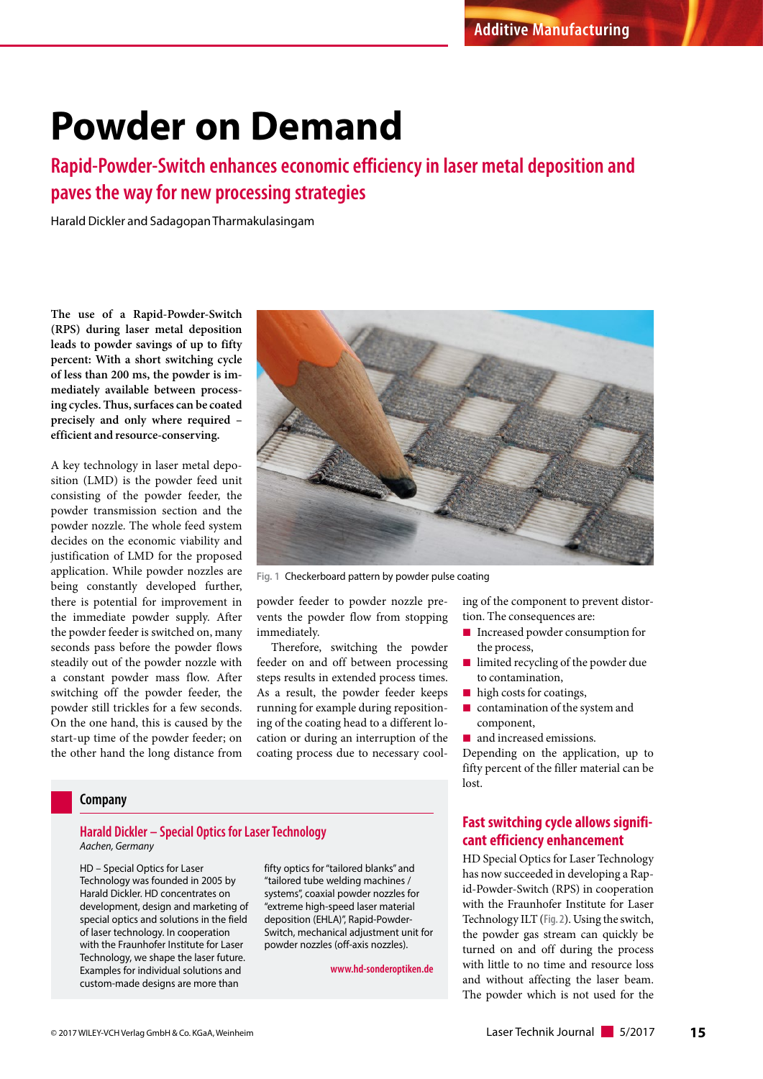# **Powder on Demand**

# **Rapid-Powder-Switch enhances economic efficiency in laser metal deposition and paves the way for new processing strategies**

Harald Dickler and Sadagopan Tharmakulasingam

**The use of a Rapid-Powder-Switch (RPS) during laser metal deposition leads to powder savings of up to fifty percent: With a short switching cycle of less than 200 ms, the powder is immediately available between processing cycles. Thus, surfaces can be coated precisely and only where required – efficient and resource-conserving.**

A key technology in laser metal deposition (LMD) is the powder feed unit consisting of the powder feeder, the powder transmission section and the powder nozzle. The whole feed system decides on the economic viability and justification of LMD for the proposed application. While powder nozzles are being constantly developed further, there is potential for improvement in the immediate powder supply. After the powder feeder is switched on, many seconds pass before the powder flows steadily out of the powder nozzle with a constant powder mass flow. After switching off the powder feeder, the powder still trickles for a few seconds. On the one hand, this is caused by the start-up time of the powder feeder; on the other hand the long distance from



**Fig. 1** Checkerboard pattern by powder pulse coating

powder feeder to powder nozzle prevents the powder flow from stopping immediately.

Therefore, switching the powder feeder on and off between processing steps results in extended process times. As a result, the powder feeder keeps running for example during repositioning of the coating head to a different location or during an interruption of the coating process due to necessary cooling of the component to prevent distortion. The consequences are:

- Increased powder consumption for the process,
- limited recycling of the powder due to contamination,
- high costs for coatings,
- **n** contamination of the system and component,

and increased emissions.

Depending on the application, up to fifty percent of the filler material can be lost.

#### **Company**

#### **Harald Dickler – Special Optics for Laser Technology**  *Aachen, Germany*

HD – Special Optics for Laser Technology was founded in 2005 by Harald Dickler. HD concentrates on development, design and marketing of special optics and solutions in the field of laser technology. In cooperation with the Fraunhofer Institute for Laser Technology, we shape the laser future. Examples for individual solutions and custom-made designs are more than

fifty optics for "tailored blanks" and "tailored tube welding machines / systems", coaxial powder nozzles for "extreme high-speed laser material deposition (EHLA)", Rapid-Powder-Switch, mechanical adjustment unit for powder nozzles (off-axis nozzles).

**www.hd-sonderoptiken.de**

#### **Fast switching cycle allows significant efficiency enhancement**

HD Special Optics for Laser Technology has now succeeded in developing a Rapid-Powder-Switch (RPS) in cooperation with the Fraunhofer Institute for Laser Technology ILT (**Fig. 2**). Using the switch, the powder gas stream can quickly be turned on and off during the process with little to no time and resource loss and without affecting the laser beam. The powder which is not used for the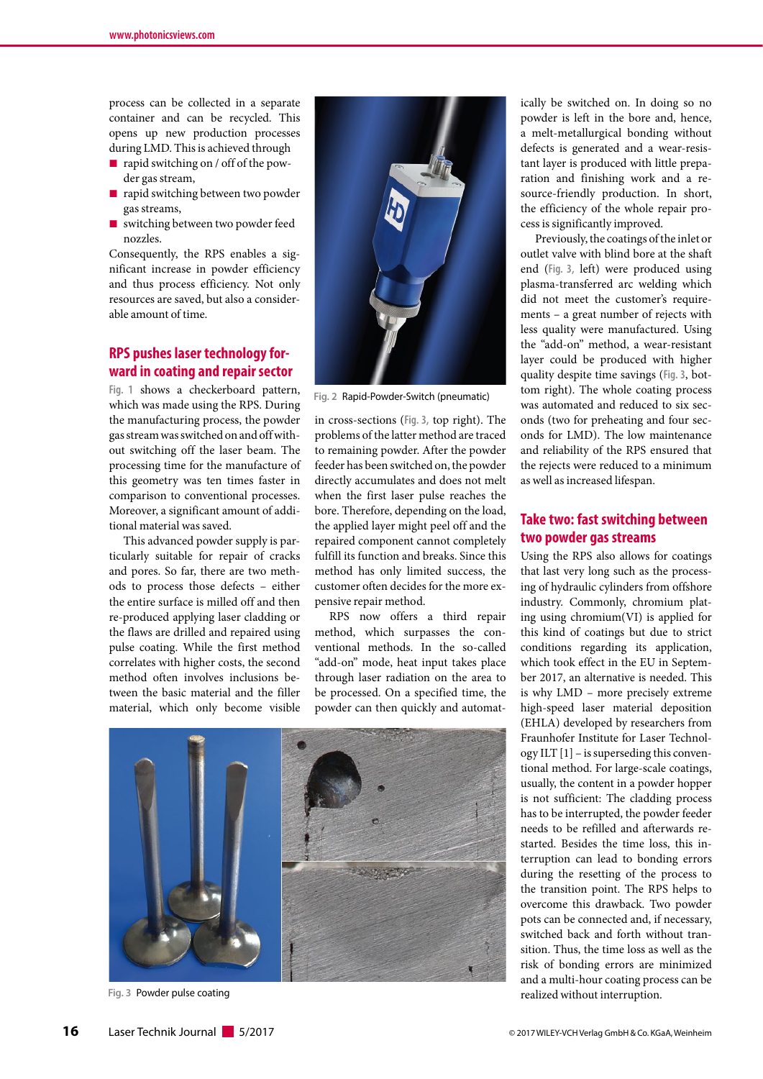process can be collected in a separate container and can be recycled. This opens up new production processes during LMD. This is achieved through

- **rapid switching on / off of the pow**der gas stream,
- $\blacksquare$  rapid switching between two powder gas streams,
- switching between two powder feed nozzles.

Consequently, the RPS enables a significant increase in powder efficiency and thus process efficiency. Not only resources are saved, but also a considerable amount of time.

## **RPS pushes laser technology forward in coating and repair sector**

**Fig. 1** shows a checkerboard pattern, which was made using the RPS. During the manufacturing process, the powder gas stream was switched on and off without switching off the laser beam. The processing time for the manufacture of this geometry was ten times faster in comparison to conventional processes. Moreover, a significant amount of additional material was saved.

This advanced powder supply is particularly suitable for repair of cracks and pores. So far, there are two methods to process those defects – either the entire surface is milled off and then re-produced applying laser cladding or the flaws are drilled and repaired using pulse coating. While the first method correlates with higher costs, the second method often involves inclusions between the basic material and the filler material, which only become visible



**Fig. 2** Rapid-Powder-Switch (pneumatic)

in cross-sections (**Fig. 3,** top right). The problems of the latter method are traced to remaining powder. After the powder feeder has been switched on, the powder directly accumulates and does not melt when the first laser pulse reaches the bore. Therefore, depending on the load, the applied layer might peel off and the repaired component cannot completely fulfill its function and breaks. Since this method has only limited success, the customer often decides for the more expensive repair method.

RPS now offers a third repair method, which surpasses the conventional methods. In the so-called "add-on" mode, heat input takes place through laser radiation on the area to be processed. On a specified time, the powder can then quickly and automat-



**Fig. 3** Powder pulse coating

ically be switched on. In doing so no powder is left in the bore and, hence, a melt-metallurgical bonding without defects is generated and a wear-resistant layer is produced with little preparation and finishing work and a resource-friendly production. In short, the efficiency of the whole repair process is significantly improved.

Previously, the coatings of the inlet or outlet valve with blind bore at the shaft end (**Fig. 3,** left) were produced using plasma-transferred arc welding which did not meet the customer's requirements – a great number of rejects with less quality were manufactured. Using the "add-on" method, a wear-resistant layer could be produced with higher quality despite time savings (**Fig. 3**, bottom right). The whole coating process was automated and reduced to six seconds (two for preheating and four seconds for LMD). The low maintenance and reliability of the RPS ensured that the rejects were reduced to a minimum as well as increased lifespan.

#### **Take two: fast switching between two powder gas streams**

Using the RPS also allows for coatings that last very long such as the processing of hydraulic cylinders from offshore industry. Commonly, chromium plating using chromium(VI) is applied for this kind of coatings but due to strict conditions regarding its application, which took effect in the EU in September 2017, an alternative is needed. This is why LMD – more precisely extreme high-speed laser material deposition (EHLA) developed by researchers from Fraunhofer Institute for Laser Technol- $\log$ y ILT [1] – is superseding this conventional method. For large-scale coatings, usually, the content in a powder hopper is not sufficient: The cladding process has to be interrupted, the powder feeder needs to be refilled and afterwards restarted. Besides the time loss, this interruption can lead to bonding errors during the resetting of the process to the transition point. The RPS helps to overcome this drawback. Two powder pots can be connected and, if necessary, switched back and forth without transition. Thus, the time loss as well as the risk of bonding errors are minimized and a multi-hour coating process can be realized without interruption.